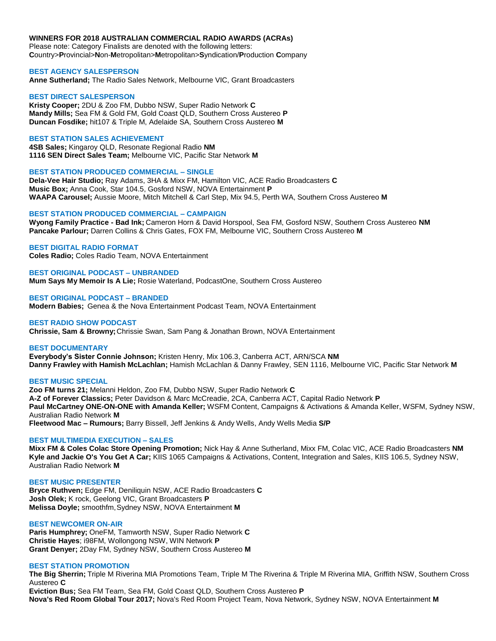# **WINNERS FOR 2018 AUSTRALIAN COMMERCIAL RADIO AWARDS (ACRAs)**

Please note: Category Finalists are denoted with the following letters: **C**ountry>**P**rovincial>**N**on-**M**etropolitan>**M**etropolitan>**S**yndication/**P**roduction **C**ompany

# **BEST AGENCY SALESPERSON**

**Anne Sutherland;** The Radio Sales Network, Melbourne VIC, Grant Broadcasters

## **BEST DIRECT SALESPERSON**

**Kristy Cooper;** 2DU & Zoo FM, Dubbo NSW, Super Radio Network **C Mandy Mills;** Sea FM & Gold FM, Gold Coast QLD, Southern Cross Austereo **P Duncan Fosdike;** hit107 & Triple M, Adelaide SA, Southern Cross Austereo **M**

### **BEST STATION SALES ACHIEVEMENT**

**4SB Sales;** Kingaroy QLD, Resonate Regional Radio **NM 1116 SEN Direct Sales Team;** Melbourne VIC, Pacific Star Network **M**

### **BEST STATION PRODUCED COMMERCIAL – SINGLE**

**Dela-Vee Hair Studio;** Ray Adams, 3HA & Mixx FM, Hamilton VIC, ACE Radio Broadcasters **C Music Box;** Anna Cook, Star 104.5, Gosford NSW, NOVA Entertainment **P WAAPA Carousel;** Aussie Moore, Mitch Mitchell & Carl Step, Mix 94.5, Perth WA, Southern Cross Austereo **M**

### **BEST STATION PRODUCED COMMERCIAL – CAMPAIGN**

**Wyong Family Practice - Bad Ink;** Cameron Horn & David Horspool, Sea FM, Gosford NSW, Southern Cross Austereo **NM Pancake Parlour;** Darren Collins & Chris Gates, FOX FM, Melbourne VIC, Southern Cross Austereo **M**

### **BEST DIGITAL RADIO FORMAT**

**Coles Radio;** Coles Radio Team, NOVA Entertainment

### **BEST ORIGINAL PODCAST – UNBRANDED**

**Mum Says My Memoir Is A Lie;** Rosie Waterland, PodcastOne, Southern Cross Austereo

#### **BEST ORIGINAL PODCAST – BRANDED**

**Modern Babies;** Genea & the Nova Entertainment Podcast Team, NOVA Entertainment

### **BEST RADIO SHOW PODCAST**

**Chrissie, Sam & Browny;**Chrissie Swan, Sam Pang & Jonathan Brown, NOVA Entertainment

#### **BEST DOCUMENTARY**

**Everybody's Sister Connie Johnson;** Kristen Henry, Mix 106.3, Canberra ACT, ARN/SCA **NM Danny Frawley with Hamish McLachlan;** Hamish McLachlan & Danny Frawley, SEN 1116, Melbourne VIC, Pacific Star Network **M**

#### **BEST MUSIC SPECIAL**

**Zoo FM turns 21;** Melanni Heldon, Zoo FM, Dubbo NSW, Super Radio Network **C A-Z of Forever Classics;** Peter Davidson & Marc McCreadie, 2CA, Canberra ACT, Capital Radio Network **P Paul McCartney ONE-ON-ONE with Amanda Keller;** WSFM Content, Campaigns & Activations & Amanda Keller, WSFM, Sydney NSW, Australian Radio Network **M Fleetwood Mac – Rumours;** Barry Bissell, Jeff Jenkins & Andy Wells, Andy Wells Media **S/P**

#### **BEST MULTIMEDIA EXECUTION – SALES**

**Mixx FM & Coles Colac Store Opening Promotion;** Nick Hay & Anne Sutherland, Mixx FM, Colac VIC, ACE Radio Broadcasters **NM Kyle and Jackie O's You Get A Car;** KIIS 1065 Campaigns & Activations, Content, Integration and Sales, KIIS 106.5, Sydney NSW, Australian Radio Network **M**

### **BEST MUSIC PRESENTER**

**Bryce Ruthven;** Edge FM, Deniliquin NSW, ACE Radio Broadcasters **C Josh Olek;** K rock, Geelong VIC, Grant Broadcasters **P Melissa Doyle;** smoothfm,Sydney NSW, NOVA Entertainment **M**

### **BEST NEWCOMER ON-AIR**

**Paris Humphrey;** OneFM, Tamworth NSW, Super Radio Network **C Christie Hayes**; i98FM, Wollongong NSW, WIN Network **P Grant Denyer;** 2Day FM, Sydney NSW, Southern Cross Austereo **M**

### **BEST STATION PROMOTION**

**The Big Sherrin;** Triple M Riverina MIA Promotions Team, Triple M The Riverina & Triple M Riverina MIA, Griffith NSW, Southern Cross Austereo **C**

**Eviction Bus;** Sea FM Team, Sea FM, Gold Coast QLD, Southern Cross Austereo **P Nova's Red Room Global Tour 2017;** Nova's Red Room Project Team, Nova Network, Sydney NSW, NOVA Entertainment **M**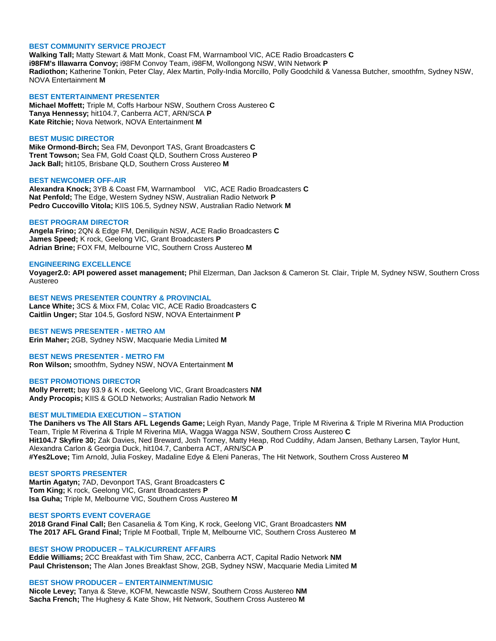#### **BEST COMMUNITY SERVICE PROJECT**

**Walking Tall;** Matty Stewart & Matt Monk, Coast FM, Warrnambool VIC, ACE Radio Broadcasters **C i98FM's Illawarra Convoy;** i98FM Convoy Team, i98FM, Wollongong NSW, WIN Network **P Radiothon;** Katherine Tonkin, Peter Clay, Alex Martin, Polly-India Morcillo, Polly Goodchild & Vanessa Butcher, smoothfm, Sydney NSW, NOVA Entertainment **M**

# **BEST ENTERTAINMENT PRESENTER**

**Michael Moffett;** Triple M, Coffs Harbour NSW, Southern Cross Austereo **C Tanya Hennessy;** hit104.7, Canberra ACT, ARN/SCA **P Kate Ritchie;** Nova Network, NOVA Entertainment **M**

#### **BEST MUSIC DIRECTOR**

**Mike Ormond-Birch;** Sea FM, Devonport TAS, Grant Broadcasters **C Trent Towson;** Sea FM, Gold Coast QLD, Southern Cross Austereo **P Jack Ball;** hit105, Brisbane QLD, Southern Cross Austereo **M**

#### **BEST NEWCOMER OFF-AIR**

**Alexandra Knock;** 3YB & Coast FM, Warrnambool VIC, ACE Radio Broadcasters **C Nat Penfold;** The Edge, Western Sydney NSW, Australian Radio Network **P Pedro Cuccovillo Vitola;** KIIS 106.5, Sydney NSW, Australian Radio Network **M**

### **BEST PROGRAM DIRECTOR**

**Angela Frino;** 2QN & Edge FM, Deniliquin NSW, ACE Radio Broadcasters **C James Speed;** K rock, Geelong VIC, Grant Broadcasters **P Adrian Brine;** FOX FM, Melbourne VIC, Southern Cross Austereo **M**

#### **ENGINEERING EXCELLENCE**

**Voyager2.0: API powered asset management;** Phil Elzerman, Dan Jackson & Cameron St. Clair, Triple M, Sydney NSW, Southern Cross Austereo

# **BEST NEWS PRESENTER COUNTRY & PROVINCIAL**

**Lance White;** 3CS & Mixx FM, Colac VIC, ACE Radio Broadcasters **C Caitlin Unger;** Star 104.5, Gosford NSW, NOVA Entertainment **P**

### **BEST NEWS PRESENTER - METRO AM**

**Erin Maher;** 2GB, Sydney NSW, Macquarie Media Limited **M**

#### **BEST NEWS PRESENTER - METRO FM**

**Ron Wilson;** smoothfm, Sydney NSW, NOVA Entertainment **M**

#### **BEST PROMOTIONS DIRECTOR**

**Molly Perrett;** bay 93.9 & K rock, Geelong VIC, Grant Broadcasters **NM Andy Procopis;** KIIS & GOLD Networks; Australian Radio Network **M**

#### **BEST MULTIMEDIA EXECUTION – STATION**

**The Danihers vs The All Stars AFL Legends Game;** Leigh Ryan, Mandy Page, Triple M Riverina & Triple M Riverina MIA Production Team, Triple M Riverina & Triple M Riverina MIA, Wagga Wagga NSW, Southern Cross Austereo **C Hit104.7 Skyfire 30;** Zak Davies, Ned Breward, Josh Torney, Matty Heap, Rod Cuddihy, Adam Jansen, Bethany Larsen, Taylor Hunt, Alexandra Carlon & Georgia Duck, hit104.7, Canberra ACT, ARN/SCA **P #Yes2Love;** Tim Arnold, Julia Foskey, Madaline Edye & Eleni Paneras, The Hit Network, Southern Cross Austereo **M**

#### **BEST SPORTS PRESENTER**

**Martin Agatyn;** 7AD, Devonport TAS, Grant Broadcasters **C Tom King;** K rock, Geelong VIC, Grant Broadcasters **P Isa Guha;** Triple M, Melbourne VIC, Southern Cross Austereo **M**

# **BEST SPORTS EVENT COVERAGE**

**2018 Grand Final Call;** Ben Casanelia & Tom King, K rock, Geelong VIC, Grant Broadcasters **NM The 2017 AFL Grand Final;** Triple M Football, Triple M, Melbourne VIC, Southern Cross Austereo **M**

#### **BEST SHOW PRODUCER – TALK/CURRENT AFFAIRS**

**Eddie Williams;** 2CC Breakfast with Tim Shaw, 2CC, Canberra ACT, Capital Radio Network **NM Paul Christenson;** The Alan Jones Breakfast Show, 2GB, Sydney NSW, Macquarie Media Limited **M**

#### **BEST SHOW PRODUCER – ENTERTAINMENT/MUSIC**

**Nicole Levey;** Tanya & Steve, KOFM, Newcastle NSW, Southern Cross Austereo **NM Sacha French;** The Hughesy & Kate Show, Hit Network, Southern Cross Austereo **M**